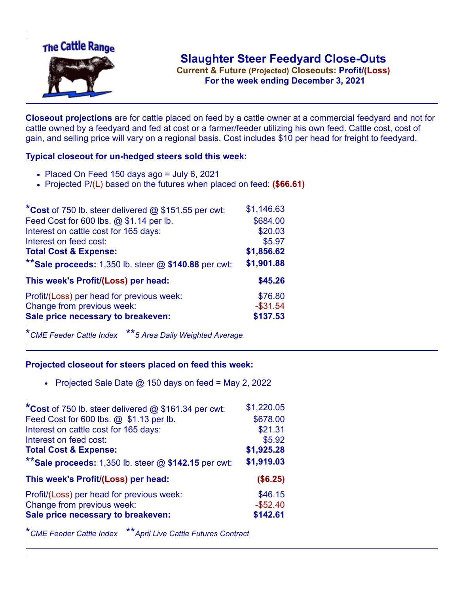

.**For the week ending December 3, 2021**

**Closeout projections** are for cattle placed on feed by a cattle owner at a commercial feedyard and not for cattle owned by a feedyard and fed at cost or a farmer/feeder utilizing his own feed. Cattle cost, cost of gain, and selling price will vary on a regional basis. Cost includes \$10 per head for freight to feedyard.

## **Typical closeout for un-hedged steers sold this week:**

- $\bullet$  Placed On Feed 150 days ago = July 6, 2021
- Projected P/(L) based on the futures when placed on feed: **(\$66.61)**

| *Cost of 750 lb. steer delivered $@$ \$151.55 per cwt:  | \$1,146.63  |
|---------------------------------------------------------|-------------|
| Feed Cost for 600 lbs. @ \$1.14 per lb.                 | \$684.00    |
| Interest on cattle cost for 165 days:                   | \$20.03     |
| Interest on feed cost:                                  | \$5.97      |
| <b>Total Cost &amp; Expense:</b>                        | \$1,856.62  |
| ** Sale proceeds: 1,350 lb. steer $@$ \$140.88 per cwt: | \$1,901.88  |
| This week's Profit/(Loss) per head:                     | \$45.26     |
| Profit/(Loss) per head for previous week:               | \$76.80     |
| Change from previous week:                              | $-$ \$31.54 |
| Sale price necessary to breakeven:                      | \$137.53    |

\**CME Feeder Cattle Index* \*\**5 Area Daily Weighted Average*

## **Projected closeout for steers placed on feed this week:**

• Projected Sale Date  $@$  150 days on feed = May 2, 2022

| *Cost of 750 lb. steer delivered @ \$161.34 per cwt:    | \$1,220.05 |
|---------------------------------------------------------|------------|
| Feed Cost for 600 lbs. @ \$1.13 per lb.                 | \$678.00   |
| Interest on cattle cost for 165 days:                   | \$21.31    |
| Interest on feed cost:                                  | \$5.92     |
| <b>Total Cost &amp; Expense:</b>                        | \$1,925.28 |
| ** Sale proceeds: 1,350 lb. steer $@$ \$142.15 per cwt: | \$1,919.03 |
| This week's Profit/(Loss) per head:                     | (\$6.25)   |
| Profit/(Loss) per head for previous week:               | \$46.15    |
| Change from previous week:                              | $-$52.40$  |
| Sale price necessary to breakeven:                      | \$142.61   |

\**CME Feeder Cattle Index* \*\**April Live Cattle Futures Contract*